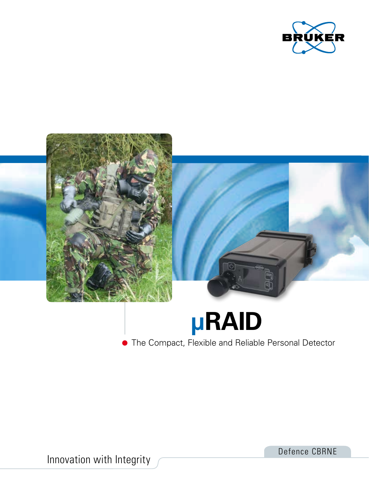



Innovation with Integrity

Defence CBRNE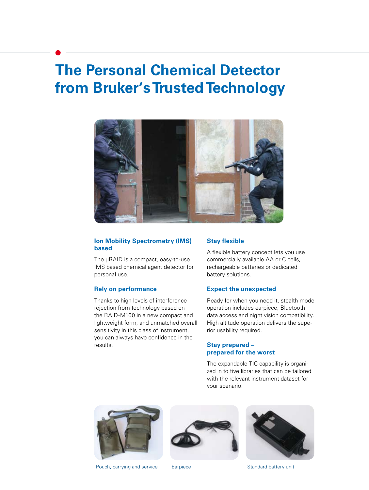# **The Personal Chemical Detector from Bruker's Trusted Technology**



# **Ion Mobility Spectrometry (IMS) based**

The µRAID is a compact, easy-to-use IMS based chemical agent detector for personal use.

# **Rely on performance**

Thanks to high levels of interference rejection from technology based on the RAID-M100 in a new compact and lightweight form, and unmatched overall sensitivity in this class of instrument, you can always have confidence in the results.

### **Stay flexible**

A flexible battery concept lets you use commercially available AA or C cells, rechargeable batteries or dedicated battery solutions.

#### **Expect the unexpected**

Ready for when you need it, stealth mode operation includes earpiece, Bluetooth data access and night vision compatibility. High altitude operation delivers the superior usability required.

# **Stay prepared – prepared for the worst**

The expandable TIC capability is organized in to five libraries that can be tailored with the relevant instrument dataset for your scenario.







Pouch, carrying and service Earpiece Earphiece Standard battery unit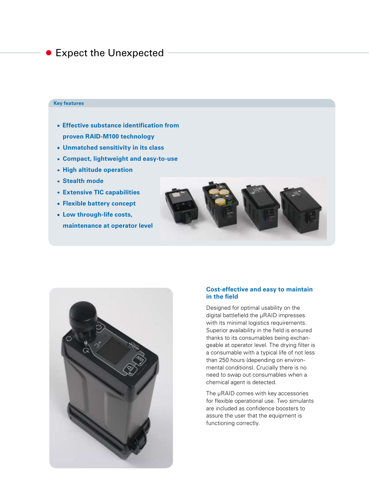# **Expect the Unexpected**

#### **Key features**

- **Effective substance identification from proven RAID-M100 technology**
- **Unmatched sensitivity in its class**
- **Compact, lightweight and easy-to-use**
- **High altitude operation**
- **Stealth mode**
- **Extensive TIC capabilities**
- **Flexible battery concept**
- **Low through-life costs, maintenance at operator level**





# **Cost-effective and easy to maintain in the field**

Designed for optimal usability on the digital battlefield the μRAID impresses with its minimal logistics requirements. Superior availability in the field is ensured thanks to its consumables being exchangeable at operator level. The drying filter is a consumable with a typical life of not less than 250 hours (depending on environmental conditions). Crucially there is no need to swap out consumables when a chemical agent is detected.

The μRAID comes with key accessories for flexible operational use. Two simulants are included as confidence boosters to assure the user that the equipment is functioning correctly.